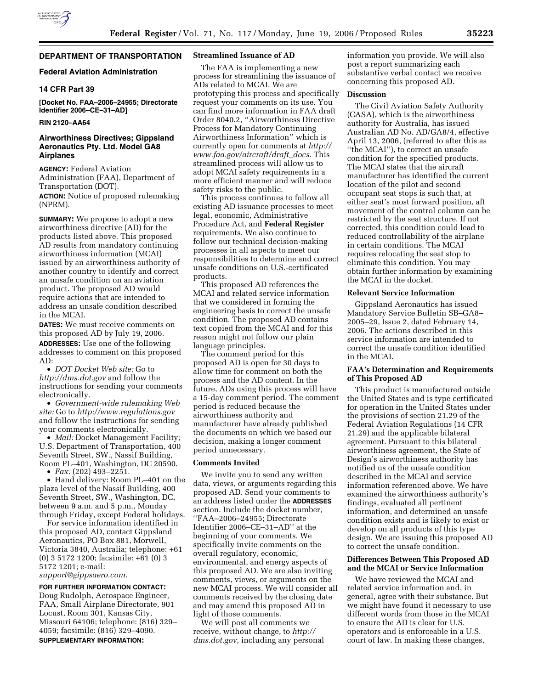# **DEPARTMENT OF TRANSPORTATION**

## **Federal Aviation Administration**

## **14 CFR Part 39**

**[Docket No. FAA–2006–24955; Directorate Identifier 2006–CE–31–AD]** 

### **RIN 2120–AA64**

## **Airworthiness Directives; Gippsland Aeronautics Pty. Ltd. Model GA8 Airplanes**

**AGENCY:** Federal Aviation Administration (FAA), Department of Transportation (DOT).

**ACTION:** Notice of proposed rulemaking (NPRM).

**SUMMARY:** We propose to adopt a new airworthiness directive (AD) for the products listed above. This proposed AD results from mandatory continuing airworthiness information (MCAI) issued by an airworthiness authority of another country to identify and correct an unsafe condition on an aviation product. The proposed AD would require actions that are intended to address an unsafe condition described in the MCAI.

**DATES:** We must receive comments on this proposed AD by July 19, 2006. **ADDRESSES:** Use one of the following addresses to comment on this proposed AD:

• *DOT Docket Web site:* Go to *http://dms.dot.gov* and follow the instructions for sending your comments electronically.

• *Government-wide rulemaking Web site:* Go to *http://www.regulations.gov*  and follow the instructions for sending your comments electronically.

• *Mail:* Docket Management Facility; U.S. Department of Transportation, 400 Seventh Street, SW., Nassif Building, Room PL–401, Washington, DC 20590.

• *Fax:* (202) 493–2251.

• Hand delivery: Room PL–401 on the plaza level of the Nassif Building, 400 Seventh Street, SW., Washington, DC, between 9 a.m. and 5 p.m., Monday through Friday, except Federal holidays.

For service information identified in this proposed AD, contact Gippsland Aeronautics, PO Box 881, Morwell, Victoria 3840, Australia; telephone: +61 (0) 3 5172 1200; facsimile: +61 (0) 3 5172 1201; e-mail:

*support@gippsaero.com.* 

**FOR FURTHER INFORMATION CONTACT:** 

Doug Rudolph, Aerospace Engineer, FAA, Small Airplane Directorate, 901 Locust, Room 301, Kansas City, Missouri 64106; telephone: (816) 329– 4059; facsimile: (816) 329–4090. **SUPPLEMENTARY INFORMATION:** 

#### **Streamlined Issuance of AD**

The FAA is implementing a new process for streamlining the issuance of ADs related to MCAI. We are prototyping this process and specifically request your comments on its use. You can find more information in FAA draft Order 8040.2, ''Airworthiness Directive Process for Mandatory Continuing Airworthiness Information'' which is currently open for comments at *http:// www.faa.gov/aircraft/draft*\_*docs.* This streamlined process will allow us to adopt MCAI safety requirements in a more efficient manner and will reduce safety risks to the public.

This process continues to follow all existing AD issuance processes to meet legal, economic, Administrative Procedure Act, and **Federal Register**  requirements. We also continue to follow our technical decision-making processes in all aspects to meet our responsibilities to determine and correct unsafe conditions on U.S.-certificated products.

This proposed AD references the MCAI and related service information that we considered in forming the engineering basis to correct the unsafe condition. The proposed AD contains text copied from the MCAI and for this reason might not follow our plain language principles.

The comment period for this proposed AD is open for 30 days to allow time for comment on both the process and the AD content. In the future, ADs using this process will have a 15-day comment period. The comment period is reduced because the airworthiness authority and manufacturer have already published the documents on which we based our decision, making a longer comment period unnecessary.

## **Comments Invited**

We invite you to send any written data, views, or arguments regarding this proposed AD. Send your comments to an address listed under the **ADDRESSES** section. Include the docket number, ''FAA–2006–24955; Directorate Identifier 2006–CE–31–AD'' at the beginning of your comments. We specifically invite comments on the overall regulatory, economic, environmental, and energy aspects of this proposed AD. We are also inviting comments, views, or arguments on the new MCAI process. We will consider all comments received by the closing date and may amend this proposed AD in light of those comments.

We will post all comments we receive, without change, to *http:// dms.dot.gov,* including any personal information you provide. We will also post a report summarizing each substantive verbal contact we receive concerning this proposed AD.

#### **Discussion**

The Civil Aviation Safety Authority (CASA), which is the airworthiness authority for Australia, has issued Australian AD No. AD/GA8/4, effective April 13, 2006, (referred to after this as ''the MCAI''), to correct an unsafe condition for the specified products. The MCAI states that the aircraft manufacturer has identified the current location of the pilot and second occupant seat stops is such that, at either seat's most forward position, aft movement of the control column can be restricted by the seat structure. If not corrected, this condition could lead to reduced controllability of the airplane in certain conditions. The MCAI requires relocating the seat stop to eliminate this condition. You may obtain further information by examining the MCAI in the docket.

#### **Relevant Service Information**

Gippsland Aeronautics has issued Mandatory Service Bulletin SB–GA8– 2005–29, Issue 2, dated February 14, 2006. The actions described in this service information are intended to correct the unsafe condition identified in the MCAI.

## **FAA's Determination and Requirements of This Proposed AD**

This product is manufactured outside the United States and is type certificated for operation in the United States under the provisions of section 21.29 of the Federal Aviation Regulations (14 CFR 21.29) and the applicable bilateral agreement. Pursuant to this bilateral airworthiness agreement, the State of Design's airworthiness authority has notified us of the unsafe condition described in the MCAI and service information referenced above. We have examined the airworthiness authority's findings, evaluated all pertinent information, and determined an unsafe condition exists and is likely to exist or develop on all products of this type design. We are issuing this proposed AD to correct the unsafe condition.

## **Differences Between This Proposed AD and the MCAI or Service Information**

We have reviewed the MCAI and related service information and, in general, agree with their substance. But we might have found it necessary to use different words from those in the MCAI to ensure the AD is clear for U.S. operators and is enforceable in a U.S. court of law. In making these changes,